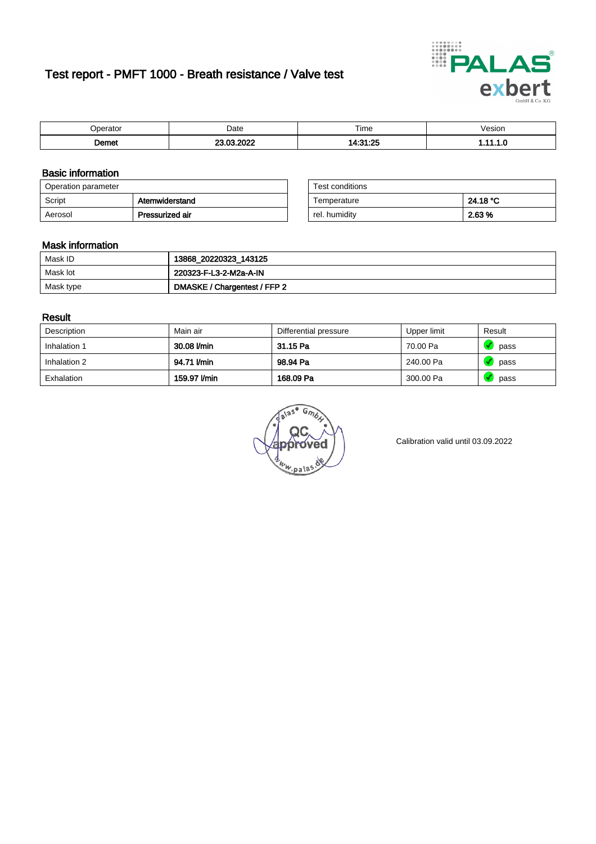# Test report - PMFT 1000 - Breath resistance / Valve test



|                    | Date | $- \cdot$             | /esion |
|--------------------|------|-----------------------|--------|
| 71111              |      | Time                  | .      |
| <b>Domot</b><br>шы | .    | $-0.5$<br><b>A.O.</b> | .      |

### Basic information

| Operation parameter |                 | Test conditions |          |
|---------------------|-----------------|-----------------|----------|
| Script              | Atemwiderstand  | Temperature     | 24.18 °C |
| Aerosol             | Pressurized air | rel. humidity   | 2.63 %   |

| Test conditions |          |
|-----------------|----------|
| Temperature     | 24.18 °C |
| rel. humidity   | 2.63%    |

#### Mask information

| Mask ID   | 13868_20220323_143125        |
|-----------|------------------------------|
| Mask lot  | 220323-F-L3-2-M2a-A-IN       |
| Mask type | DMASKE / Chargentest / FFP 2 |

### Result

| Description  | Main air     | Differential pressure | Upper limit | Result |
|--------------|--------------|-----------------------|-------------|--------|
| Inhalation 1 | 30.08 l/min  | 31.15 Pa              | 70.00 Pa    | pass   |
| Inhalation 2 | 94.71 I/min  | 98.94 Pa              | 240.00 Pa   | pass   |
| Exhalation   | 159.97 l/min | 168.09 Pa             | 300.00 Pa   | pass   |

w.pala

Calibration valid until 03.09.2022